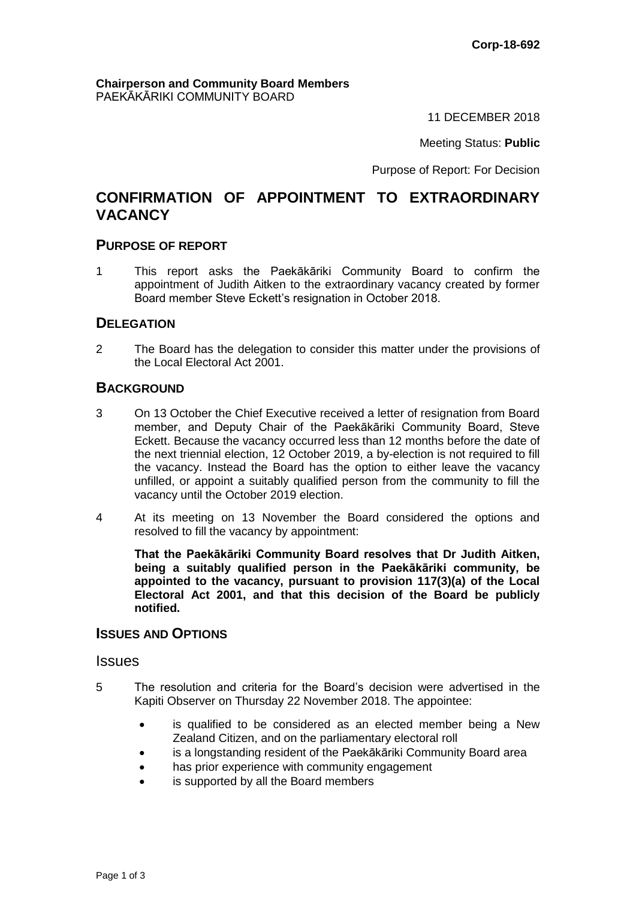#### **Chairperson and Community Board Members** PAEKĀKĀRIKI COMMUNITY BOARD

11 DECEMBER 2018

Meeting Status: **Public**

Purpose of Report: For Decision

# **CONFIRMATION OF APPOINTMENT TO EXTRAORDINARY VACANCY**

### **PURPOSE OF REPORT**

1 This report asks the Paekākāriki Community Board to confirm the appointment of Judith Aitken to the extraordinary vacancy created by former Board member Steve Eckett's resignation in October 2018.

## **DELEGATION**

2 The Board has the delegation to consider this matter under the provisions of the Local Electoral Act 2001.

## **BACKGROUND**

- 3 On 13 October the Chief Executive received a letter of resignation from Board member, and Deputy Chair of the Paekākāriki Community Board, Steve Eckett. Because the vacancy occurred less than 12 months before the date of the next triennial election, 12 October 2019, a by-election is not required to fill the vacancy. Instead the Board has the option to either leave the vacancy unfilled, or appoint a suitably qualified person from the community to fill the vacancy until the October 2019 election.
- 4 At its meeting on 13 November the Board considered the options and resolved to fill the vacancy by appointment:

**That the Paekākāriki Community Board resolves that Dr Judith Aitken, being a suitably qualified person in the Paekākāriki community, be appointed to the vacancy, pursuant to provision 117(3)(a) of the Local Electoral Act 2001, and that this decision of the Board be publicly notified.**

## **ISSUES AND OPTIONS**

#### Issues

- 5 The resolution and criteria for the Board's decision were advertised in the Kapiti Observer on Thursday 22 November 2018. The appointee:
	- is qualified to be considered as an elected member being a New Zealand Citizen, and on the parliamentary electoral roll
	- is a longstanding resident of the Paekākāriki Community Board area
	- has prior experience with community engagement
	- is supported by all the Board members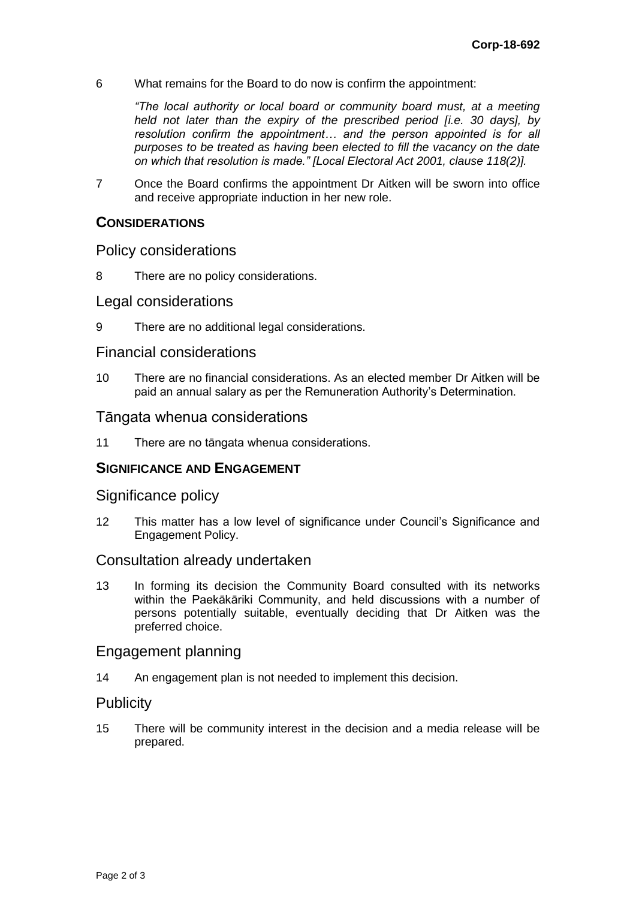6 What remains for the Board to do now is confirm the appointment:

*"The local authority or local board or community board must, at a meeting held not later than the expiry of the prescribed period [i.e. 30 days], by resolution confirm the appointment… and the person appointed is for all purposes to be treated as having been elected to fill the vacancy on the date on which that resolution is made." [Local Electoral Act 2001, clause 118(2)].*

7 Once the Board confirms the appointment Dr Aitken will be sworn into office and receive appropriate induction in her new role.

### **CONSIDERATIONS**

## Policy considerations

8 There are no policy considerations.

### Legal considerations

9 There are no additional legal considerations.

## Financial considerations

10 There are no financial considerations. As an elected member Dr Aitken will be paid an annual salary as per the Remuneration Authority's Determination.

## Tāngata whenua considerations

11 There are no tāngata whenua considerations.

### **SIGNIFICANCE AND ENGAGEMENT**

### Significance policy

12 This matter has a low level of significance under Council's Significance and Engagement Policy.

### Consultation already undertaken

13 In forming its decision the Community Board consulted with its networks within the Paekākāriki Community, and held discussions with a number of persons potentially suitable, eventually deciding that Dr Aitken was the preferred choice.

### Engagement planning

14 An engagement plan is not needed to implement this decision.

## **Publicity**

15 There will be community interest in the decision and a media release will be prepared.